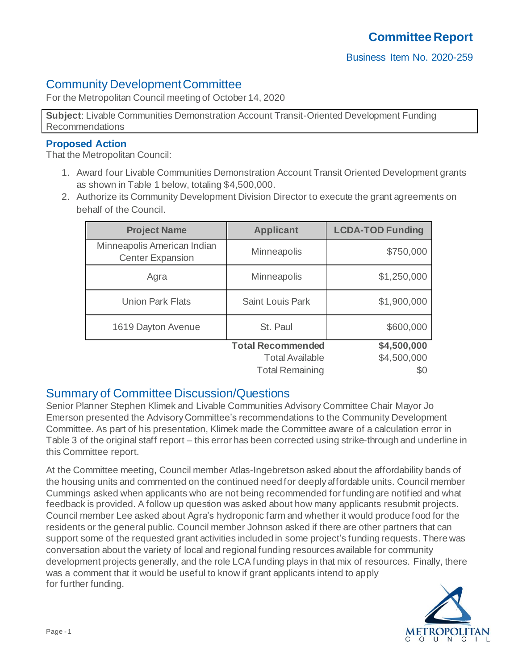# Community Development Committee

For the Metropolitan Council meeting of October 14, 2020

**Subject**: Livable Communities Demonstration Account Transit-Oriented Development Funding Recommendations

### **Proposed Action**

That the Metropolitan Council:

- 1. Award four Livable Communities Demonstration Account Transit Oriented Development grants as shown in Table 1 below, totaling \$4,500,000.
- 2. Authorize its Community Development Division Director to execute the grant agreements on behalf of the Council.

| <b>Project Name</b>                                    | <b>Applicant</b>         | <b>LCDA-TOD Funding</b> |
|--------------------------------------------------------|--------------------------|-------------------------|
| Minneapolis American Indian<br><b>Center Expansion</b> | Minneapolis              | \$750,000               |
| Agra                                                   | Minneapolis              | \$1,250,000             |
| <b>Union Park Flats</b>                                | <b>Saint Louis Park</b>  | \$1,900,000             |
| 1619 Dayton Avenue                                     | St. Paul                 | \$600,000               |
|                                                        | <b>Total Recommended</b> | \$4,500,000             |
|                                                        | <b>Total Available</b>   | \$4,500,000             |
|                                                        | <b>Total Remaining</b>   | \$0                     |

# Summary of Committee Discussion/Questions

Senior Planner Stephen Klimek and Livable Communities Advisory Committee Chair Mayor Jo Emerson presented the Advisory Committee's recommendations to the Community Development Committee. As part of his presentation, Klimek made the Committee aware of a calculation error in Table 3 of the original staff report – this error has been corrected using strike-through and underline in this Committee report.

At the Committee meeting, Council member Atlas-Ingebretson asked about the affordability bands of the housing units and commented on the continued need for deeply affordable units. Council member Cummings asked when applicants who are not being recommended for funding are notified and what feedback is provided. A follow up question was asked about how many applicants resubmit projects. Council member Lee asked about Agra's hydroponic farm and whether it would produce food for the residents or the general public. Council member Johnson asked if there are other partners that can support some of the requested grant activities included in some project's funding requests. There was conversation about the variety of local and regional funding resources available for community development projects generally, and the role LCA funding plays in that mix of resources. Finally, there was a comment that it would be useful to know if grant applicants intend to apply for further funding.

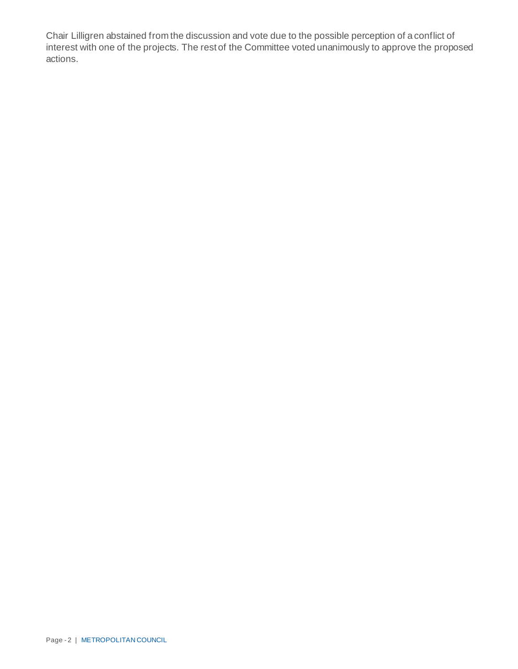Chair Lilligren abstained from the discussion and vote due to the possible perception of a conflict of interest with one of the projects. The rest of the Committee voted unanimously to approve the proposed actions.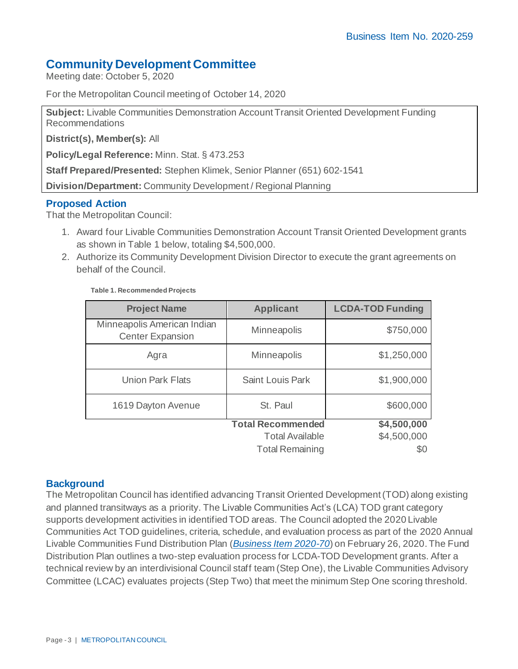## **Community Development Committee**

Meeting date: October 5, 2020

For the Metropolitan Council meeting of October 14, 2020

**Subject:** Livable Communities Demonstration Account Transit Oriented Development Funding Recommendations

**District(s), Member(s):** All

**Policy/Legal Reference:** Minn. Stat. § 473.253

**Staff Prepared/Presented:** Stephen Klimek, Senior Planner (651) 602-1541

**Division/Department:** Community Development / Regional Planning

#### **Proposed Action**

That the Metropolitan Council:

- 1. Award four Livable Communities Demonstration Account Transit Oriented Development grants as shown in Table 1 below, totaling \$4,500,000.
- 2. Authorize its Community Development Division Director to execute the grant agreements on behalf of the Council.

| <b>Project Name</b>                                    | <b>Applicant</b>         | <b>LCDA-TOD Funding</b> |
|--------------------------------------------------------|--------------------------|-------------------------|
| Minneapolis American Indian<br><b>Center Expansion</b> | <b>Minneapolis</b>       | \$750,000               |
| Agra                                                   | <b>Minneapolis</b>       | \$1,250,000             |
| <b>Union Park Flats</b>                                | <b>Saint Louis Park</b>  | \$1,900,000             |
| 1619 Dayton Avenue                                     | St. Paul                 | \$600,000               |
|                                                        | <b>Total Recommended</b> | \$4,500,000             |
|                                                        | <b>Total Available</b>   | \$4,500,000             |
|                                                        | <b>Total Remaining</b>   | \$0                     |

#### **Table 1. Recommended Projects**

### **Background**

The Metropolitan Council has identified advancing Transit Oriented Development (TOD) along existing and planned transitways as a priority. The Livable Communities Act's (LCA) TOD grant category supports development activities in identified TOD areas. The Council adopted the 2020 Livable Communities Act TOD guidelines, criteria, schedule, and evaluation process as part of the 2020 Annual Livable Communities Fund Distribution Plan (*[Business Item 2020-70](https://metrocouncil.org/Council-Meetings/Committees/Metropolitan-Council/2020/2-26-2020/0226_2020_70.aspx)*) on February 26, 2020.The Fund Distribution Plan outlines a two-step evaluation process for LCDA-TOD Development grants. After a technical review by an interdivisional Council staff team (Step One), the Livable Communities Advisory Committee (LCAC) evaluates projects (Step Two) that meet the minimum Step One scoring threshold.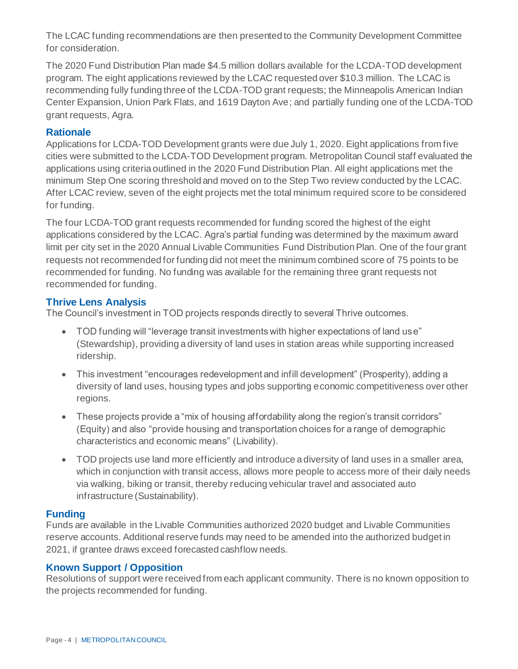The LCAC funding recommendations are then presented to the Community Development Committee for consideration.

The 2020 Fund Distribution Plan made \$4.5 million dollars available for the LCDA-TOD development program. The eight applications reviewed by the LCAC requested over \$10.3 million. The LCAC is recommending fully funding three of the LCDA-TOD grant requests; the Minneapolis American Indian Center Expansion, Union Park Flats, and 1619 Dayton Ave; and partially funding one of the LCDA-TOD grant requests, Agra.

### **Rationale**

Applications for LCDA-TOD Development grants were due July 1, 2020. Eight applications from five cities were submitted to the LCDA-TOD Development program. Metropolitan Council staff evaluated the applications using criteria outlined in the 2020 Fund Distribution Plan. All eight applications met the minimum Step One scoring threshold and moved on to the Step Two review conducted by the LCAC. After LCAC review, seven of the eight projects met the total minimum required score to be considered for funding.

The four LCDA-TOD grant requests recommended for funding scored the highest of the eight applications considered by the LCAC. Agra's partial funding was determined by the maximum award limit per city set in the 2020 Annual Livable Communities Fund Distribution Plan. One of the four grant requests not recommended for funding did not meet the minimum combined score of 75 points to be recommended for funding. No funding was available for the remaining three grant requests not recommended for funding.

### **Thrive Lens Analysis**

The Council's investment in TOD projects responds directly to several Thrive outcomes.

- TOD funding will "leverage transit investments with higher expectations of land use" (Stewardship), providing a diversity of land uses in station areas while supporting increased ridership.
- This investment "encourages redevelopment and infill development" (Prosperity), adding a diversity of land uses, housing types and jobs supporting economic competitiveness over other regions.
- These projects provide a "mix of housing affordability along the region's transit corridors" (Equity) and also "provide housing and transportation choices for a range of demographic characteristics and economic means" (Livability).
- TOD projects use land more efficiently and introduce a diversity of land uses in a smaller area, which in conjunction with transit access, allows more people to access more of their daily needs via walking, biking or transit, thereby reducing vehicular travel and associated auto infrastructure (Sustainability).

## **Funding**

Funds are available in the Livable Communities authorized 2020 budget and Livable Communities reserve accounts. Additional reserve funds may need to be amended into the authorized budget in 2021, if grantee draws exceed forecasted cashflow needs.

## **Known Support / Opposition**

Resolutions of support were received from each applicant community. There is no known opposition to the projects recommended for funding.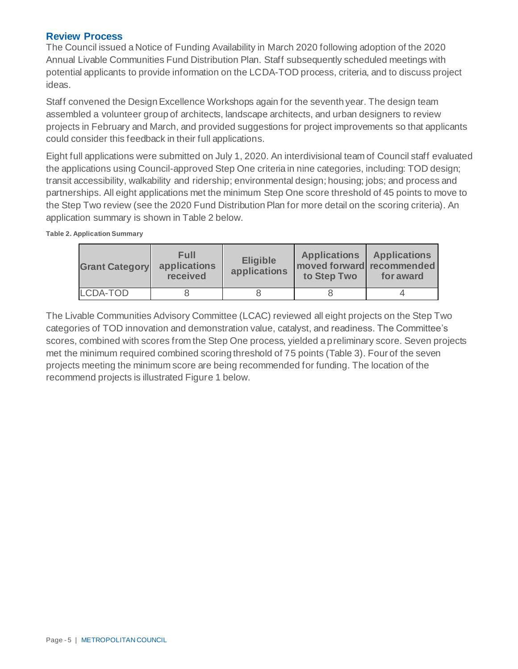#### **Review Process**

The Council issued a Notice of Funding Availability in March 2020 following adoption of the 2020 Annual Livable Communities Fund Distribution Plan. Staff subsequently scheduled meetings with potential applicants to provide information on the LCDA-TOD process, criteria, and to discuss project ideas.

Staff convened the Design Excellence Workshops again for the seventh year. The design team assembled a volunteer group of architects, landscape architects, and urban designers to review projects in February and March, and provided suggestions for project improvements so that applicants could consider this feedback in their full applications.

Eight full applications were submitted on July 1, 2020. An interdivisional team of Council staff evaluated the applications using Council-approved Step One criteria in nine categories, including: TOD design; transit accessibility, walkability and ridership; environmental design; housing; jobs; and process and partnerships. All eight applications met the minimum Step One score threshold of 45 points to move to the Step Two review (see the 2020 Fund Distribution Plan for more detail on the scoring criteria). An application summary is shown in Table 2 below.

**Table 2. Application Summary**

| <b>Grant Category</b> | Full<br>applications<br>received | <b>Eligible</b><br>applications | <b>Applications</b><br>moved forward recommended<br>to Step Two | <b>Applications</b><br>for award |
|-----------------------|----------------------------------|---------------------------------|-----------------------------------------------------------------|----------------------------------|
| LCDA-TOD              |                                  |                                 |                                                                 |                                  |

The Livable Communities Advisory Committee (LCAC) reviewed all eight projects on the Step Two categories of TOD innovation and demonstration value, catalyst, and readiness. The Committee's scores, combined with scores from the Step One process, yielded a preliminary score. Seven projects met the minimum required combined scoring threshold of 75 points (Table 3). Four of the seven projects meeting the minimum score are being recommended for funding. The location of the recommend projects is illustrated Figure 1 below.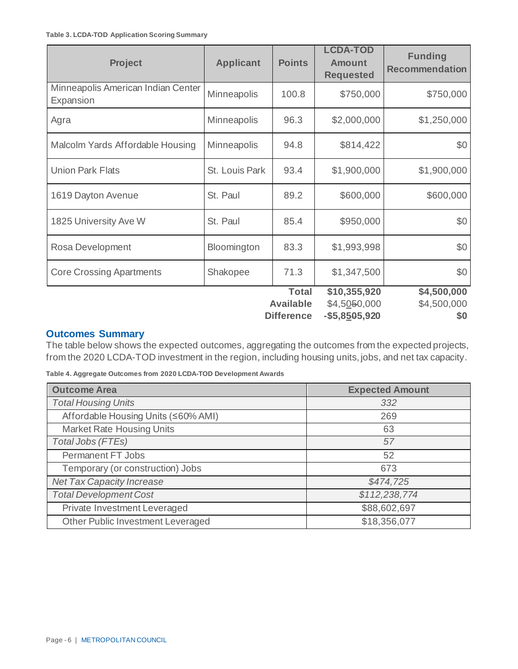| <b>Project</b>                                  | <b>Applicant</b>   | <b>Points</b>                                         | <b>LCDA-TOD</b><br><b>Amount</b><br><b>Requested</b> | <b>Funding</b><br><b>Recommendation</b> |
|-------------------------------------------------|--------------------|-------------------------------------------------------|------------------------------------------------------|-----------------------------------------|
| Minneapolis American Indian Center<br>Expansion | Minneapolis        | 100.8                                                 | \$750,000                                            | \$750,000                               |
| Agra                                            | Minneapolis        | 96.3                                                  | \$2,000,000                                          | \$1,250,000                             |
| Malcolm Yards Affordable Housing                | <b>Minneapolis</b> | 94.8                                                  | \$814,422                                            | \$0                                     |
| <b>Union Park Flats</b>                         | St. Louis Park     | 93.4                                                  | \$1,900,000                                          | \$1,900,000                             |
| 1619 Dayton Avenue                              | St. Paul           | 89.2                                                  | \$600,000                                            | \$600,000                               |
| 1825 University Ave W                           | St. Paul           | 85.4                                                  | \$950,000                                            | \$0                                     |
| Rosa Development                                | Bloomington        | 83.3                                                  | \$1,993,998                                          | \$0                                     |
| <b>Core Crossing Apartments</b>                 | Shakopee           | 71.3                                                  | \$1,347,500                                          | \$0                                     |
|                                                 |                    | <b>Total</b><br><b>Available</b><br><b>Difference</b> | \$10,355,920<br>\$4,5050,000<br>-\$5,8505,920        | \$4,500,000<br>\$4,500,000<br>\$0       |

### **Outcomes Summary**

The table below shows the expected outcomes, aggregating the outcomes from the expected projects, from the 2020 LCDA-TOD investment in the region, including housing units, jobs, and net tax capacity.

**Table 4. Aggregate Outcomes from 2020 LCDA-TOD Development Awards**

| <b>Outcome Area</b>                 | <b>Expected Amount</b> |
|-------------------------------------|------------------------|
| <b>Total Housing Units</b>          | 332                    |
| Affordable Housing Units (≤60% AMI) | 269                    |
| <b>Market Rate Housing Units</b>    | 63                     |
| Total Jobs (FTEs)                   | 57                     |
| Permanent FT Jobs                   | 52                     |
| Temporary (or construction) Jobs    | 673                    |
| <b>Net Tax Capacity Increase</b>    | \$474,725              |
| <b>Total Development Cost</b>       | \$112,238,774          |
| Private Investment Leveraged        | \$88,602,697           |
| Other Public Investment Leveraged   | \$18,356,077           |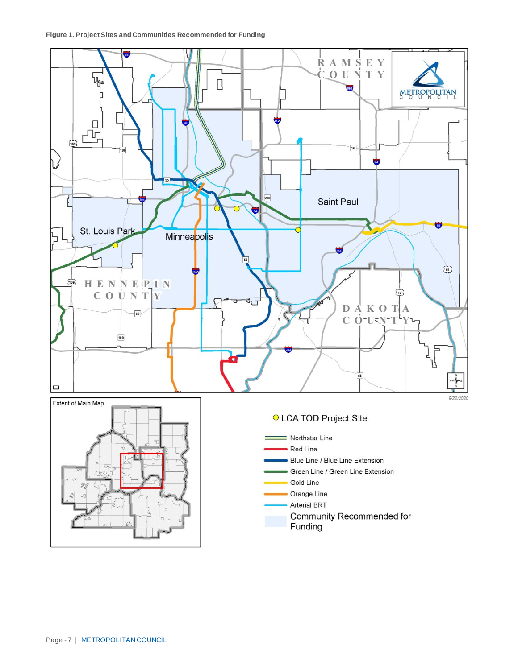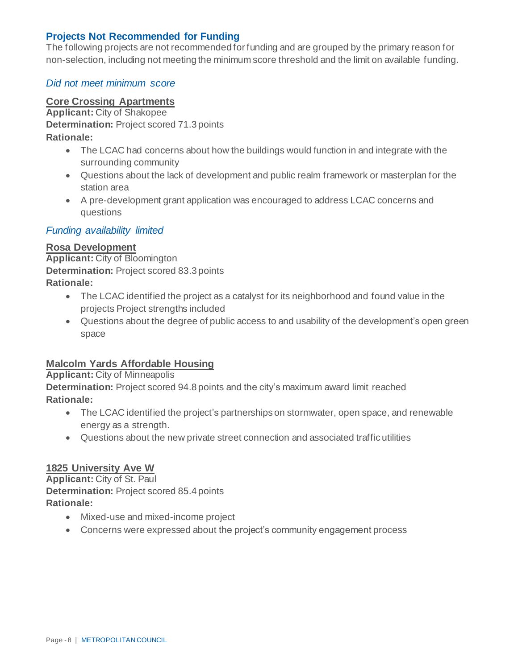### **Projects Not Recommended for Funding**

The following projects are not recommended for funding and are grouped by the primary reason for non-selection, including not meeting the minimum score threshold and the limit on available funding.

### *Did not meet minimum score*

### **Core Crossing Apartments**

**Applicant:** City of Shakopee

**Determination:** Project scored 71.3 points

**Rationale:**

- The LCAC had concerns about how the buildings would function in and integrate with the surrounding community
- Questions about the lack of development and public realm framework or masterplan for the station area
- A pre-development grant application was encouraged to address LCAC concerns and questions

### *Funding availability limited*

#### **Rosa Development**

**Applicant:** City of Bloomington **Determination:** Project scored 83.3 points **Rationale:**

- The LCAC identified the project as a catalyst for its neighborhood and found value in the projects Project strengths included
- Questions about the degree of public access to and usability of the development's open green space

### **Malcolm Yards Affordable Housing**

**Applicant:** City of Minneapolis **Determination:** Project scored 94.8 points and the city's maximum award limit reached

- **Rationale:**
	- The LCAC identified the project's partnerships on stormwater, open space, and renewable energy as a strength.
	- Questions about the new private street connection and associated traffic utilities

### **1825 University Ave W**

**Applicant:** City of St. Paul **Determination:** Project scored 85.4 points **Rationale:**

- Mixed-use and mixed-income project
- Concerns were expressed about the project's community engagement process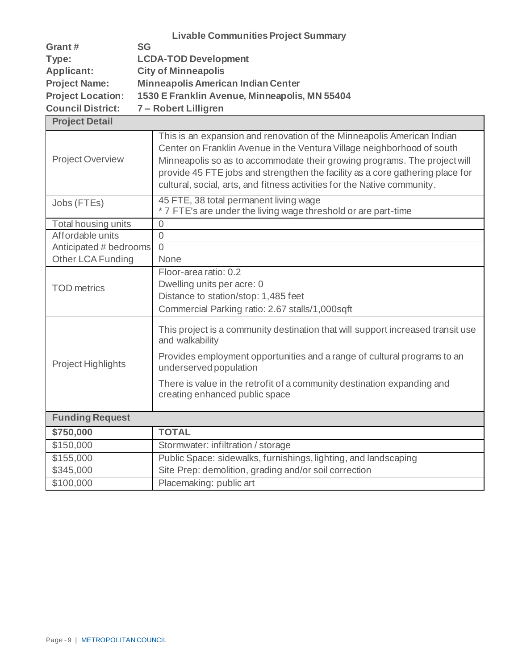|                          | <b>Livable Communities Project Summary</b>    |
|--------------------------|-----------------------------------------------|
| Grant#                   | <b>SG</b>                                     |
| Type:                    | <b>LCDA-TOD Development</b>                   |
| Applicant:               | <b>City of Minneapolis</b>                    |
| <b>Project Name:</b>     | <b>Minneapolis American Indian Center</b>     |
| <b>Project Location:</b> | 1530 E Franklin Avenue, Minneapolis, MN 55404 |
| <b>Council District:</b> | 7 – Robert Lilligren                          |

| <b>Project Detail</b>     |                                                                                                                                                                                                                                                                                                                                                                                            |
|---------------------------|--------------------------------------------------------------------------------------------------------------------------------------------------------------------------------------------------------------------------------------------------------------------------------------------------------------------------------------------------------------------------------------------|
| <b>Project Overview</b>   | This is an expansion and renovation of the Minneapolis American Indian<br>Center on Franklin Avenue in the Ventura Village neighborhood of south<br>Minneapolis so as to accommodate their growing programs. The project will<br>provide 45 FTE jobs and strengthen the facility as a core gathering place for<br>cultural, social, arts, and fitness activities for the Native community. |
| Jobs (FTEs)               | 45 FTE, 38 total permanent living wage<br>* 7 FTE's are under the living wage threshold or are part-time                                                                                                                                                                                                                                                                                   |
| Total housing units       | $\overline{0}$                                                                                                                                                                                                                                                                                                                                                                             |
| Affordable units          | $\overline{0}$                                                                                                                                                                                                                                                                                                                                                                             |
| Anticipated # bedrooms    | $\overline{0}$                                                                                                                                                                                                                                                                                                                                                                             |
| Other LCA Funding         | None                                                                                                                                                                                                                                                                                                                                                                                       |
| <b>TOD</b> metrics        | Floor-area ratio: 0.2<br>Dwelling units per acre: 0<br>Distance to station/stop: 1,485 feet<br>Commercial Parking ratio: 2.67 stalls/1,000sqft                                                                                                                                                                                                                                             |
| <b>Project Highlights</b> | This project is a community destination that will support increased transit use<br>and walkability<br>Provides employment opportunities and a range of cultural programs to an<br>underserved population<br>There is value in the retrofit of a community destination expanding and<br>creating enhanced public space                                                                      |
| <b>Funding Request</b>    |                                                                                                                                                                                                                                                                                                                                                                                            |
| \$750,000                 | <b>TOTAL</b>                                                                                                                                                                                                                                                                                                                                                                               |
| \$150,000                 | Stormwater: infiltration / storage                                                                                                                                                                                                                                                                                                                                                         |
| \$155,000                 | Public Space: sidewalks, furnishings, lighting, and landscaping                                                                                                                                                                                                                                                                                                                            |
| \$345,000                 | Site Prep: demolition, grading and/or soil correction                                                                                                                                                                                                                                                                                                                                      |
| \$100,000                 | Placemaking: public art                                                                                                                                                                                                                                                                                                                                                                    |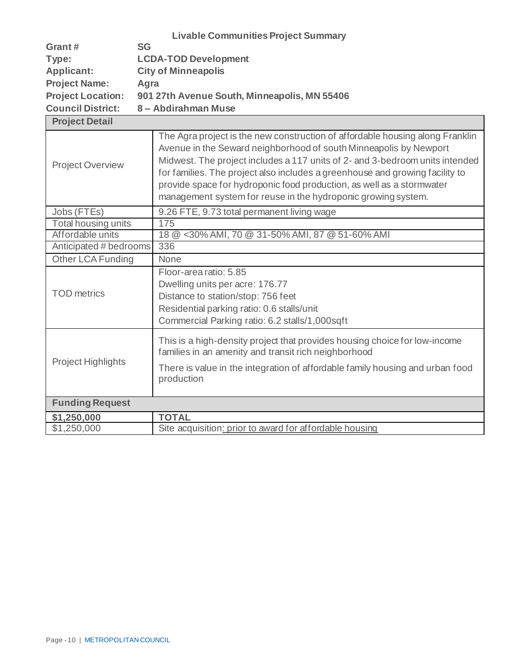|                          | <b>Livable Communities Project Summary</b>   |
|--------------------------|----------------------------------------------|
| Grant#                   | <b>SG</b>                                    |
| Type:                    | <b>LCDA-TOD Development</b>                  |
| Applicant:               | <b>City of Minneapolis</b>                   |
| <b>Project Name:</b>     | Agra                                         |
| <b>Project Location:</b> | 901 27th Avenue South, Minneapolis, MN 55406 |
| <b>Council District:</b> | 8 - Abdirahman Muse                          |
| <b>Project Detail</b>    |                                              |

| <b>Project Overview</b>    | The Agra project is the new construction of affordable housing along Franklin<br>Avenue in the Seward neighborhood of south Minneapolis by Newport<br>Midwest. The project includes a 117 units of 2- and 3-bedroom units intended<br>for families. The project also includes a greenhouse and growing facility to<br>provide space for hydroponic food production, as well as a stormwater<br>management system for reuse in the hydroponic growing system. |
|----------------------------|--------------------------------------------------------------------------------------------------------------------------------------------------------------------------------------------------------------------------------------------------------------------------------------------------------------------------------------------------------------------------------------------------------------------------------------------------------------|
| Jobs (FTEs)                | 9.26 FTE, 9.73 total permanent living wage                                                                                                                                                                                                                                                                                                                                                                                                                   |
| <b>Total housing units</b> | 175                                                                                                                                                                                                                                                                                                                                                                                                                                                          |
| Affordable units           | 18 @ < 30% AMI, 70 @ 31-50% AMI, 87 @ 51-60% AMI                                                                                                                                                                                                                                                                                                                                                                                                             |
| Anticipated # bedrooms     | 336                                                                                                                                                                                                                                                                                                                                                                                                                                                          |
| <b>Other LCA Funding</b>   | None                                                                                                                                                                                                                                                                                                                                                                                                                                                         |
| <b>TOD</b> metrics         | Floor-area ratio: 5.85<br>Dwelling units per acre: 176.77<br>Distance to station/stop: 756 feet<br>Residential parking ratio: 0.6 stalls/unit<br>Commercial Parking ratio: 6.2 stalls/1,000sqft                                                                                                                                                                                                                                                              |
| Project Highlights         | This is a high-density project that provides housing choice for low-income<br>families in an amenity and transit rich neighborhood<br>There is value in the integration of affordable family housing and urban food<br>production                                                                                                                                                                                                                            |
| <b>Funding Request</b>     |                                                                                                                                                                                                                                                                                                                                                                                                                                                              |
| \$1,250,000                | <b>TOTAL</b>                                                                                                                                                                                                                                                                                                                                                                                                                                                 |
| \$1,250,000                | Site acquisition: prior to award for affordable housing                                                                                                                                                                                                                                                                                                                                                                                                      |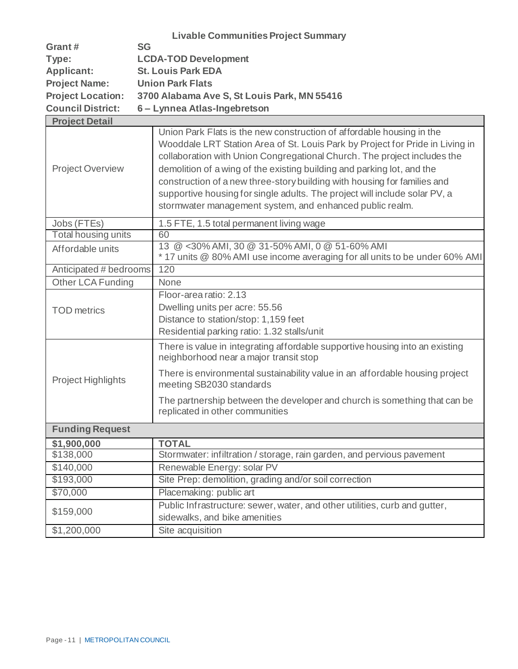|                           | <b>Livable Communities Project Summary</b>                                                                                                                                                                                                                                                                                                                                                                                                                                                                                         |
|---------------------------|------------------------------------------------------------------------------------------------------------------------------------------------------------------------------------------------------------------------------------------------------------------------------------------------------------------------------------------------------------------------------------------------------------------------------------------------------------------------------------------------------------------------------------|
| Grant#                    | <b>SG</b>                                                                                                                                                                                                                                                                                                                                                                                                                                                                                                                          |
| Type:                     | <b>LCDA-TOD Development</b>                                                                                                                                                                                                                                                                                                                                                                                                                                                                                                        |
| <b>Applicant:</b>         | <b>St. Louis Park EDA</b>                                                                                                                                                                                                                                                                                                                                                                                                                                                                                                          |
| <b>Project Name:</b>      | <b>Union Park Flats</b>                                                                                                                                                                                                                                                                                                                                                                                                                                                                                                            |
| <b>Project Location:</b>  | 3700 Alabama Ave S, St Louis Park, MN 55416                                                                                                                                                                                                                                                                                                                                                                                                                                                                                        |
| <b>Council District:</b>  | 6 - Lynnea Atlas-Ingebretson                                                                                                                                                                                                                                                                                                                                                                                                                                                                                                       |
| <b>Project Detail</b>     |                                                                                                                                                                                                                                                                                                                                                                                                                                                                                                                                    |
| <b>Project Overview</b>   | Union Park Flats is the new construction of affordable housing in the<br>Wooddale LRT Station Area of St. Louis Park by Project for Pride in Living in<br>collaboration with Union Congregational Church. The project includes the<br>demolition of a wing of the existing building and parking lot, and the<br>construction of a new three-story building with housing for families and<br>supportive housing for single adults. The project will include solar PV, a<br>stormwater management system, and enhanced public realm. |
| Jobs (FTEs)               | 1.5 FTE, 1.5 total permanent living wage                                                                                                                                                                                                                                                                                                                                                                                                                                                                                           |
| Total housing units       | 60                                                                                                                                                                                                                                                                                                                                                                                                                                                                                                                                 |
| Affordable units          | 13 @ <30% AMI, 30 @ 31-50% AMI, 0 @ 51-60% AMI<br>* 17 units @ 80% AMI use income averaging for all units to be under 60% AMI                                                                                                                                                                                                                                                                                                                                                                                                      |
| Anticipated # bedrooms    | 120                                                                                                                                                                                                                                                                                                                                                                                                                                                                                                                                |
| Other LCA Funding         | None                                                                                                                                                                                                                                                                                                                                                                                                                                                                                                                               |
| <b>TOD</b> metrics        | Floor-area ratio: 2.13<br>Dwelling units per acre: 55.56<br>Distance to station/stop: 1,159 feet<br>Residential parking ratio: 1.32 stalls/unit                                                                                                                                                                                                                                                                                                                                                                                    |
|                           | There is value in integrating affordable supportive housing into an existing<br>neighborhood near a major transit stop                                                                                                                                                                                                                                                                                                                                                                                                             |
| <b>Project Highlights</b> | There is environmental sustainability value in an affordable housing project<br>meeting SB2030 standards                                                                                                                                                                                                                                                                                                                                                                                                                           |
|                           | The partnership between the developer and church is something that can be<br>replicated in other communities                                                                                                                                                                                                                                                                                                                                                                                                                       |
| <b>Funding Request</b>    |                                                                                                                                                                                                                                                                                                                                                                                                                                                                                                                                    |
| \$1,900,000               | <b>TOTAL</b>                                                                                                                                                                                                                                                                                                                                                                                                                                                                                                                       |
| \$138,000                 | Stormwater: infiltration / storage, rain garden, and pervious pavement                                                                                                                                                                                                                                                                                                                                                                                                                                                             |
| \$140,000                 | Renewable Energy: solar PV                                                                                                                                                                                                                                                                                                                                                                                                                                                                                                         |
| \$193,000                 | Site Prep: demolition, grading and/or soil correction                                                                                                                                                                                                                                                                                                                                                                                                                                                                              |
| \$70,000                  | Placemaking: public art                                                                                                                                                                                                                                                                                                                                                                                                                                                                                                            |
| \$159,000                 | Public Infrastructure: sewer, water, and other utilities, curb and gutter,<br>sidewalks, and bike amenities                                                                                                                                                                                                                                                                                                                                                                                                                        |
| \$1,200,000               | Site acquisition                                                                                                                                                                                                                                                                                                                                                                                                                                                                                                                   |